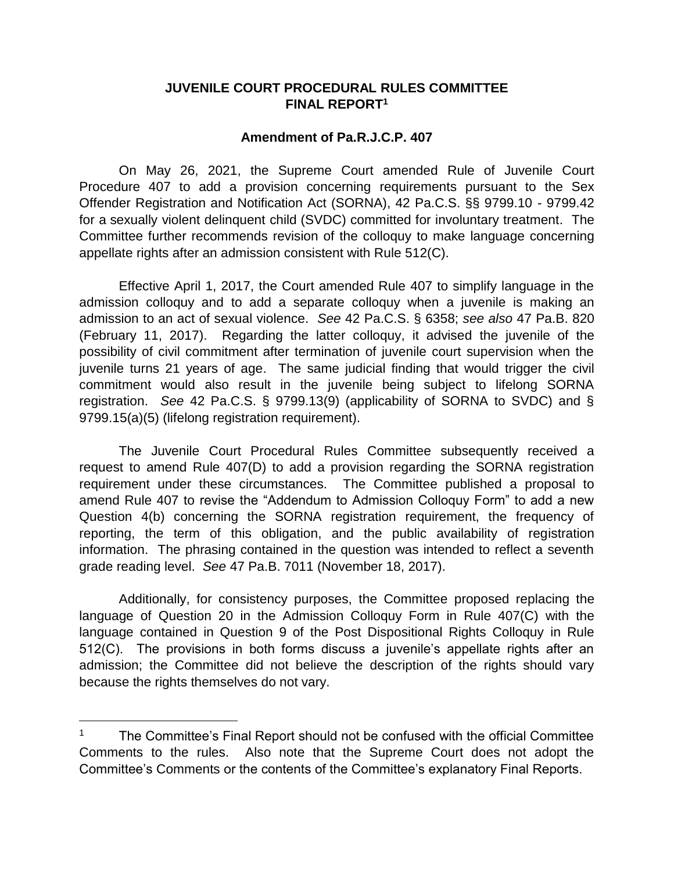## **JUVENILE COURT PROCEDURAL RULES COMMITTEE FINAL REPORT<sup>1</sup>**

## **Amendment of Pa.R.J.C.P. 407**

On May 26, 2021, the Supreme Court amended Rule of Juvenile Court Procedure 407 to add a provision concerning requirements pursuant to the Sex Offender Registration and Notification Act (SORNA), 42 Pa.C.S. §§ 9799.10 - 9799.42 for a sexually violent delinquent child (SVDC) committed for involuntary treatment. The Committee further recommends revision of the colloquy to make language concerning appellate rights after an admission consistent with Rule 512(C).

Effective April 1, 2017, the Court amended Rule 407 to simplify language in the admission colloquy and to add a separate colloquy when a juvenile is making an admission to an act of sexual violence. *See* 42 Pa.C.S. § 6358; *see also* 47 Pa.B. 820 (February 11, 2017). Regarding the latter colloquy, it advised the juvenile of the possibility of civil commitment after termination of juvenile court supervision when the juvenile turns 21 years of age. The same judicial finding that would trigger the civil commitment would also result in the juvenile being subject to lifelong SORNA registration. *See* 42 Pa.C.S. § 9799.13(9) (applicability of SORNA to SVDC) and § 9799.15(a)(5) (lifelong registration requirement).

The Juvenile Court Procedural Rules Committee subsequently received a request to amend Rule 407(D) to add a provision regarding the SORNA registration requirement under these circumstances. The Committee published a proposal to amend Rule 407 to revise the "Addendum to Admission Colloquy Form" to add a new Question 4(b) concerning the SORNA registration requirement, the frequency of reporting, the term of this obligation, and the public availability of registration information. The phrasing contained in the question was intended to reflect a seventh grade reading level. *See* 47 Pa.B. 7011 (November 18, 2017).

Additionally, for consistency purposes, the Committee proposed replacing the language of Question 20 in the Admission Colloquy Form in Rule 407(C) with the language contained in Question 9 of the Post Dispositional Rights Colloquy in Rule 512(C). The provisions in both forms discuss a juvenile's appellate rights after an admission; the Committee did not believe the description of the rights should vary because the rights themselves do not vary.

 $\overline{a}$ 

<sup>&</sup>lt;sup>1</sup> The Committee's Final Report should not be confused with the official Committee Comments to the rules. Also note that the Supreme Court does not adopt the Committee's Comments or the contents of the Committee's explanatory Final Reports.